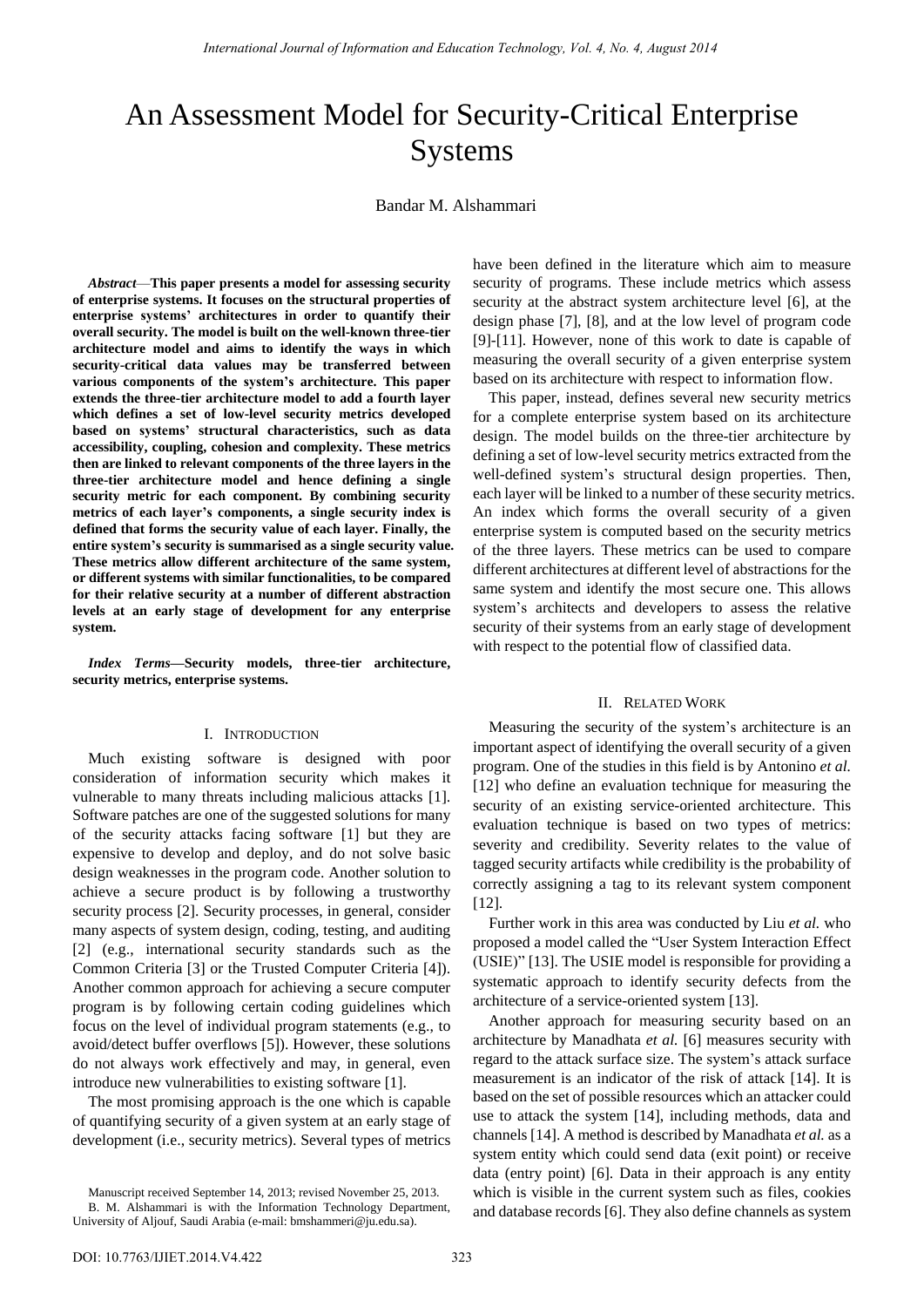# An Assessment Model for Security-Critical Enterprise Systems

Bandar M. Alshammari

*Abstract*—**This paper presents a model for assessing security of enterprise systems. It focuses on the structural properties of enterprise systems' architectures in order to quantify their overall security. The model is built on the well-known three-tier architecture model and aims to identify the ways in which security-critical data values may be transferred between various components of the system's architecture. This paper extends the three-tier architecture model to add a fourth layer which defines a set of low-level security metrics developed based on systems' structural characteristics, such as data accessibility, coupling, cohesion and complexity. These metrics then are linked to relevant components of the three layers in the three-tier architecture model and hence defining a single security metric for each component. By combining security metrics of each layer's components, a single security index is defined that forms the security value of each layer. Finally, the entire system's security is summarised as a single security value. These metrics allow different architecture of the same system, or different systems with similar functionalities, to be compared for their relative security at a number of different abstraction levels at an early stage of development for any enterprise system.**

*Index Terms***—Security models, three-tier architecture, security metrics, enterprise systems.** 

#### I. INTRODUCTION

Much existing software is designed with poor consideration of information security which makes it vulnerable to many threats including malicious attacks [1]. Software patches are one of the suggested solutions for many of the security attacks facing software [1] but they are expensive to develop and deploy, and do not solve basic design weaknesses in the program code. Another solution to achieve a secure product is by following a trustworthy security process [2]. Security processes, in general, consider many aspects of system design, coding, testing, and auditing [2] (e.g., international security standards such as the Common Criteria [3] or the Trusted Computer Criteria [4]). Another common approach for achieving a secure computer program is by following certain coding guidelines which focus on the level of individual program statements (e.g., to avoid/detect buffer overflows [5]). However, these solutions do not always work effectively and may, in general, even introduce new vulnerabilities to existing software [1].

The most promising approach is the one which is capable of quantifying security of a given system at an early stage of development (i.e., security metrics). Several types of metrics have been defined in the literature which aim to measure security of programs. These include metrics which assess security at the abstract system architecture level [6], at the design phase [7], [8], and at the low level of program code [9]-[11]. However, none of this work to date is capable of measuring the overall security of a given enterprise system based on its architecture with respect to information flow.

This paper, instead, defines several new security metrics for a complete enterprise system based on its architecture design. The model builds on the three-tier architecture by defining a set of low-level security metrics extracted from the well-defined system's structural design properties. Then, each layer will be linked to a number of these security metrics. An index which forms the overall security of a given enterprise system is computed based on the security metrics of the three layers. These metrics can be used to compare different architectures at different level of abstractions for the same system and identify the most secure one. This allows system's architects and developers to assess the relative security of their systems from an early stage of development with respect to the potential flow of classified data.

## II. RELATED WORK

Measuring the security of the system's architecture is an important aspect of identifying the overall security of a given program. One of the studies in this field is by Antonino *et al.* [12] who define an evaluation technique for measuring the security of an existing service-oriented architecture. This evaluation technique is based on two types of metrics: severity and credibility. Severity relates to the value of tagged security artifacts while credibility is the probability of correctly assigning a tag to its relevant system component [12].

Further work in this area was conducted by Liu *et al.* who proposed a model called the "User System Interaction Effect (USIE)" [13]. The USIE model is responsible for providing a systematic approach to identify security defects from the architecture of a service-oriented system [13].

Another approach for measuring security based on an architecture by Manadhata *et al.* [6] measures security with regard to the attack surface size. The system's attack surface measurement is an indicator of the risk of attack [14]. It is based on the set of possible resources which an attacker could use to attack the system [14], including methods, data and channels [14]. A method is described by Manadhata *et al.* as a system entity which could send data (exit point) or receive data (entry point) [6]. Data in their approach is any entity which is visible in the current system such as files, cookies and database records [6]. They also define channels as system

Manuscript received September 14, 2013; revised November 25, 2013. B. M. Alshammari is with the Information Technology Department, University of Aljouf, Saudi Arabia (e-mail: bmshammeri@ju.edu.sa).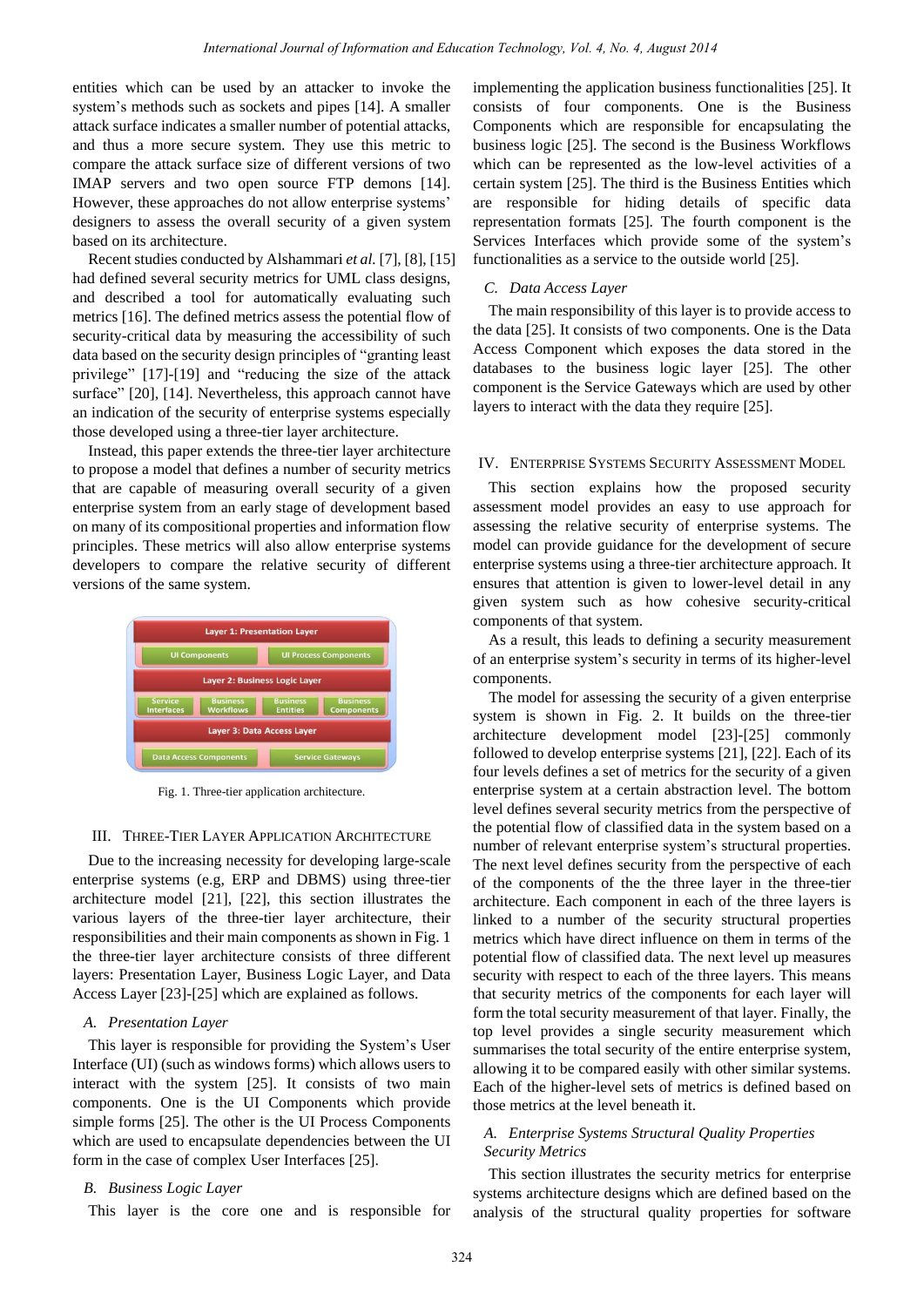entities which can be used by an attacker to invoke the system's methods such as sockets and pipes [14]. A smaller attack surface indicates a smaller number of potential attacks, and thus a more secure system. They use this metric to compare the attack surface size of different versions of two IMAP servers and two open source FTP demons [14]. However, these approaches do not allow enterprise systems' designers to assess the overall security of a given system based on its architecture.

Recent studies conducted by Alshammari *et al.* [7], [8], [15] had defined several security metrics for UML class designs, and described a tool for automatically evaluating such metrics [16]. The defined metrics assess the potential flow of security-critical data by measuring the accessibility of such data based on the security design principles of "granting least" privilege"  $[17]$ - $[19]$  and "reducing the size of the attack surface" [20], [14]. Nevertheless, this approach cannot have an indication of the security of enterprise systems especially those developed using a three-tier layer architecture.

Instead, this paper extends the three-tier layer architecture to propose a model that defines a number of security metrics that are capable of measuring overall security of a given enterprise system from an early stage of development based on many of its compositional properties and information flow principles. These metrics will also allow enterprise systems developers to compare the relative security of different versions of the same system.



Fig. 1. Three-tier application architecture.

## III. THREE-TIER LAYER APPLICATION ARCHITECTURE

Due to the increasing necessity for developing large-scale enterprise systems (e.g, ERP and DBMS) using three-tier architecture model [21], [22], this section illustrates the various layers of the three-tier layer architecture, their responsibilities and their main components as shown in Fig. 1 the three-tier layer architecture consists of three different layers: Presentation Layer, Business Logic Layer, and Data Access Layer [23]-[25] which are explained as follows.

## *A. Presentation Layer*

This layer is responsible for providing the System's User Interface (UI) (such as windows forms) which allows users to interact with the system [25]. It consists of two main components. One is the UI Components which provide simple forms [25]. The other is the UI Process Components which are used to encapsulate dependencies between the UI form in the case of complex User Interfaces [25].

## *B. Business Logic Layer*

This layer is the core one and is responsible for

implementing the application business functionalities [25]. It consists of four components. One is the Business Components which are responsible for encapsulating the business logic [25]. The second is the Business Workflows which can be represented as the low-level activities of a certain system [25]. The third is the Business Entities which are responsible for hiding details of specific data representation formats [25]. The fourth component is the Services Interfaces which provide some of the system's functionalities as a service to the outside world [25].

## *C. Data Access Layer*

The main responsibility of this layer is to provide access to the data [25]. It consists of two components. One is the Data Access Component which exposes the data stored in the databases to the business logic layer [25]. The other component is the Service Gateways which are used by other layers to interact with the data they require [25].

## IV. ENTERPRISE SYSTEMS SECURITY ASSESSMENT MODEL

This section explains how the proposed security assessment model provides an easy to use approach for assessing the relative security of enterprise systems. The model can provide guidance for the development of secure enterprise systems using a three-tier architecture approach. It ensures that attention is given to lower-level detail in any given system such as how cohesive security-critical components of that system.

As a result, this leads to defining a security measurement of an enterprise system's security in terms of its higher-level components.

The model for assessing the security of a given enterprise system is shown in Fig. 2. It builds on the three-tier architecture development model [23]-[25] commonly followed to develop enterprise systems [21], [22]. Each of its four levels defines a set of metrics for the security of a given enterprise system at a certain abstraction level. The bottom level defines several security metrics from the perspective of the potential flow of classified data in the system based on a number of relevant enterprise system's structural properties. The next level defines security from the perspective of each of the components of the the three layer in the three-tier architecture. Each component in each of the three layers is linked to a number of the security structural properties metrics which have direct influence on them in terms of the potential flow of classified data. The next level up measures security with respect to each of the three layers. This means that security metrics of the components for each layer will form the total security measurement of that layer. Finally, the top level provides a single security measurement which summarises the total security of the entire enterprise system, allowing it to be compared easily with other similar systems. Each of the higher-level sets of metrics is defined based on those metrics at the level beneath it.

## *A. Enterprise Systems Structural Quality Properties Security Metrics*

This section illustrates the security metrics for enterprise systems architecture designs which are defined based on the analysis of the structural quality properties for software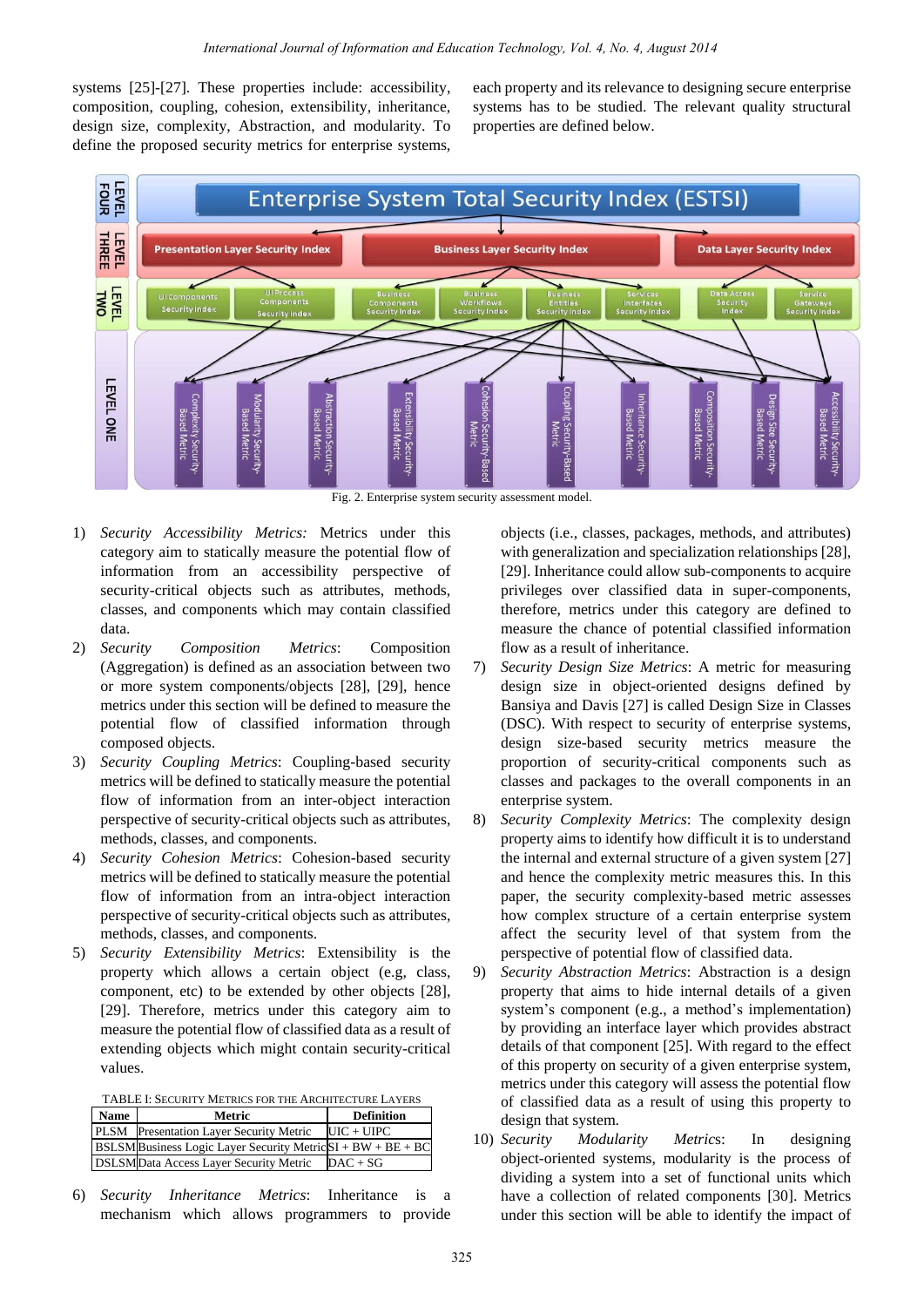systems [25]-[27]. These properties include: accessibility, composition, coupling, cohesion, extensibility, inheritance, design size, complexity, Abstraction, and modularity. To define the proposed security metrics for enterprise systems, each property and its relevance to designing secure enterprise systems has to be studied. The relevant quality structural properties are defined below.



Fig. 2. Enterprise system security assessment model.

- 1) *Security Accessibility Metrics:* Metrics under this category aim to statically measure the potential flow of information from an accessibility perspective of security-critical objects such as attributes, methods, classes, and components which may contain classified data.
- 2) *Security Composition Metrics*: Composition (Aggregation) is defined as an association between two or more system components/objects [28], [29], hence metrics under this section will be defined to measure the potential flow of classified information through composed objects.
- 3) *Security Coupling Metrics*: Coupling-based security metrics will be defined to statically measure the potential flow of information from an inter-object interaction perspective of security-critical objects such as attributes, methods, classes, and components.
- 4) *Security Cohesion Metrics*: Cohesion-based security metrics will be defined to statically measure the potential flow of information from an intra-object interaction perspective of security-critical objects such as attributes, methods, classes, and components.
- 5) *Security Extensibility Metrics*: Extensibility is the property which allows a certain object (e.g, class, component, etc) to be extended by other objects [28], [29]. Therefore, metrics under this category aim to measure the potential flow of classified data as a result of extending objects which might contain security-critical values.

| <b>Name</b> | Metric                                                           | <b>Definition</b> |
|-------------|------------------------------------------------------------------|-------------------|
|             | PLSM Presentation Layer Security Metric                          | $UIC + UIPC$      |
|             | $BSLSM$ Business Logic Layer Security Metric $SI + BW + BE + BC$ |                   |
|             | <b>DSLSMData Access Layer Security Metric</b>                    | $DAC + SG$        |
|             |                                                                  |                   |

6) *Security Inheritance Metrics*: Inheritance is a mechanism which allows programmers to provide objects (i.e., classes, packages, methods, and attributes) with generalization and specialization relationships [28], [29]. Inheritance could allow sub-components to acquire privileges over classified data in super-components, therefore, metrics under this category are defined to measure the chance of potential classified information flow as a result of inheritance.

- 7) *Security Design Size Metrics*: A metric for measuring design size in object-oriented designs defined by Bansiya and Davis [27] is called Design Size in Classes (DSC). With respect to security of enterprise systems, design size-based security metrics measure the proportion of security-critical components such as classes and packages to the overall components in an enterprise system.
- 8) *Security Complexity Metrics*: The complexity design property aims to identify how difficult it is to understand the internal and external structure of a given system [27] and hence the complexity metric measures this. In this paper, the security complexity-based metric assesses how complex structure of a certain enterprise system affect the security level of that system from the perspective of potential flow of classified data.
- 9) *Security Abstraction Metrics*: Abstraction is a design property that aims to hide internal details of a given system's component (e.g., a method's implementation) by providing an interface layer which provides abstract details of that component [25]. With regard to the effect of this property on security of a given enterprise system, metrics under this category will assess the potential flow of classified data as a result of using this property to design that system.
- 10) *Security Modularity Metric*s: In designing object-oriented systems, modularity is the process of dividing a system into a set of functional units which have a collection of related components [30]. Metrics under this section will be able to identify the impact of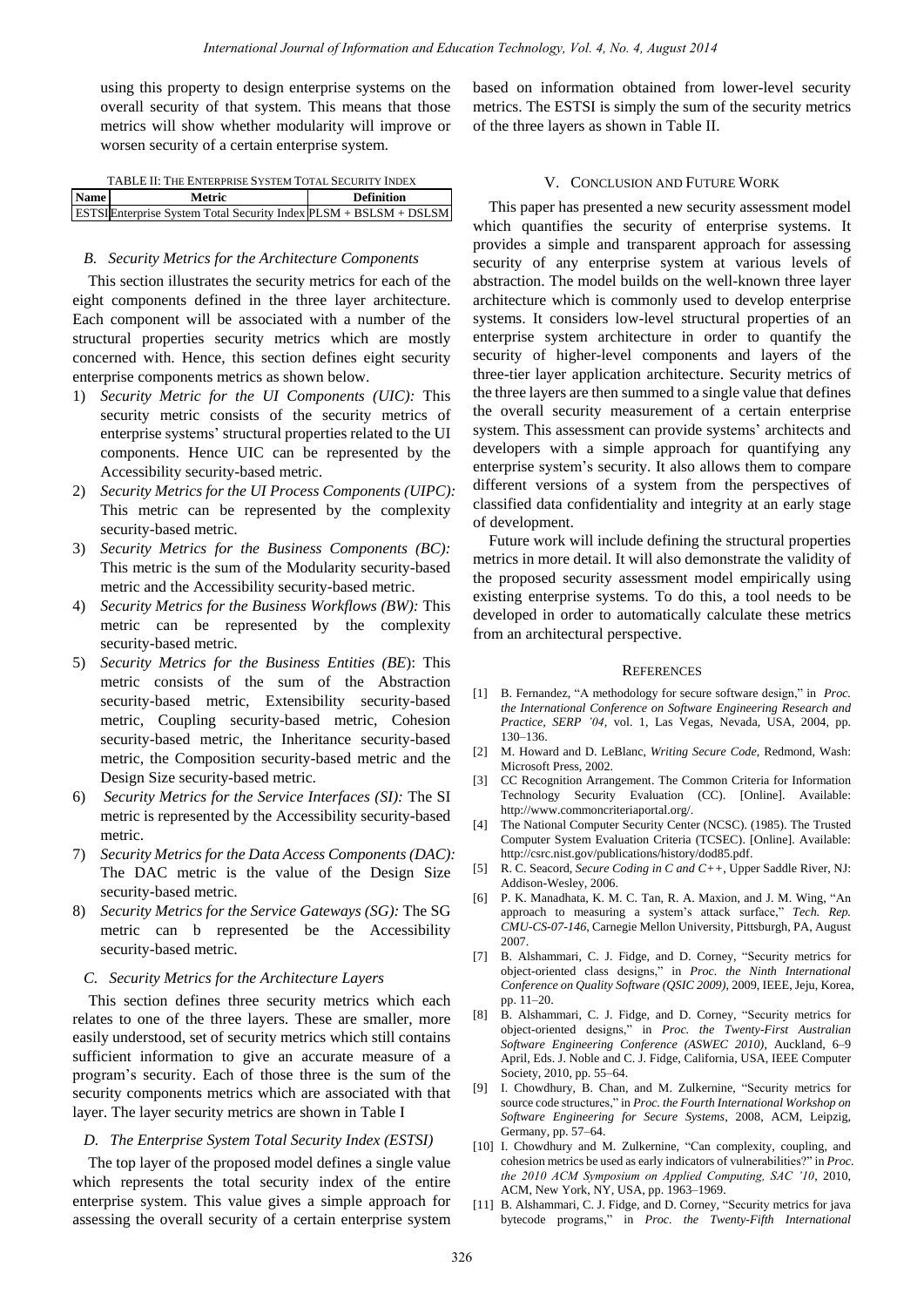using this property to design enterprise systems on the overall security of that system. This means that those metrics will show whether modularity will improve or worsen security of a certain enterprise system.

| TABLE II: THE ENTERPRISE SYSTEM TOTAL SECURITY INDEX |                                                                         |                   |  |
|------------------------------------------------------|-------------------------------------------------------------------------|-------------------|--|
| <b>Name</b>                                          | Metric                                                                  | <b>Definition</b> |  |
|                                                      | <b>ESTSIEnterprise System Total Security Index PLSM + BSLSM + DSLSM</b> |                   |  |

## *B. Security Metrics for the Architecture Components*

This section illustrates the security metrics for each of the eight components defined in the three layer architecture. Each component will be associated with a number of the structural properties security metrics which are mostly concerned with. Hence, this section defines eight security enterprise components metrics as shown below.

- 1) *Security Metric for the UI Components (UIC):* This security metric consists of the security metrics of enterprise systems' structural properties related to the UI components. Hence UIC can be represented by the Accessibility security-based metric.
- 2) *Security Metrics for the UI Process Components (UIPC):*  This metric can be represented by the complexity security-based metric.
- 3) *Security Metrics for the Business Components (BC):*  This metric is the sum of the Modularity security-based metric and the Accessibility security-based metric.
- 4) *Security Metrics for the Business Workflows (BW):* This metric can be represented by the complexity security-based metric.
- 5) *Security Metrics for the Business Entities (BE*): This metric consists of the sum of the Abstraction security-based metric, Extensibility security-based metric, Coupling security-based metric, Cohesion security-based metric, the Inheritance security-based metric, the Composition security-based metric and the Design Size security-based metric.
- 6) *Security Metrics for the Service Interfaces (SI):* The SI metric is represented by the Accessibility security-based metric.
- 7) *Security Metrics for the Data Access Components (DAC):*  The DAC metric is the value of the Design Size security-based metric.
- 8) *Security Metrics for the Service Gateways (SG):* The SG metric can b represented be the Accessibility security-based metric.

### *C. Security Metrics for the Architecture Layers*

This section defines three security metrics which each relates to one of the three layers. These are smaller, more easily understood, set of security metrics which still contains sufficient information to give an accurate measure of a program's security. Each of those three is the sum of the security components metrics which are associated with that layer. The layer security metrics are shown in Table I

### *D. The Enterprise System Total Security Index (ESTSI)*

The top layer of the proposed model defines a single value which represents the total security index of the entire enterprise system. This value gives a simple approach for assessing the overall security of a certain enterprise system based on information obtained from lower-level security metrics. The ESTSI is simply the sum of the security metrics of the three layers as shown in Table II.

### V. CONCLUSION AND FUTURE WORK

This paper has presented a new security assessment model which quantifies the security of enterprise systems. It provides a simple and transparent approach for assessing security of any enterprise system at various levels of abstraction. The model builds on the well-known three layer architecture which is commonly used to develop enterprise systems. It considers low-level structural properties of an enterprise system architecture in order to quantify the security of higher-level components and layers of the three-tier layer application architecture. Security metrics of the three layers are then summed to a single value that defines the overall security measurement of a certain enterprise system. This assessment can provide systems' architects and developers with a simple approach for quantifying any enterprise system's security. It also allows them to compare different versions of a system from the perspectives of classified data confidentiality and integrity at an early stage of development.

Future work will include defining the structural properties metrics in more detail. It will also demonstrate the validity of the proposed security assessment model empirically using existing enterprise systems. To do this, a tool needs to be developed in order to automatically calculate these metrics from an architectural perspective.

#### **REFERENCES**

- [1] B. Fernandez, "A methodology for secure software design," in *Proc. the International Conference on Software Engineering Research and Practice, SERP '04*, vol. 1, Las Vegas, Nevada, USA, 2004, pp. 130–136.
- [2] M. Howard and D. LeBlanc, *Writing Secure Code*, Redmond, Wash: Microsoft Press, 2002.
- [3] CC Recognition Arrangement. The Common Criteria for Information Technology Security Evaluation (CC). [Online]. Available: http://www.commoncriteriaportal.org/.
- [4] The National Computer Security Center (NCSC). (1985). The Trusted Computer System Evaluation Criteria (TCSEC). [Online]. Available: http://csrc.nist.gov/publications/history/dod85.pdf.
- [5] R. C. Seacord, *Secure Coding in C and C++*, Upper Saddle River, NJ: Addison-Wesley, 2006.
- [6] P. K. Manadhata, K. M. C. Tan, R. A. Maxion, and J. M. Wing, "An approach to measuring a system's attack surface," Tech. Rep. *CMU-CS-07-146*, Carnegie Mellon University, Pittsburgh, PA, August 2007.
- [7] B. Alshammari, C. J. Fidge, and D. Corney, "Security metrics for object-oriented class designs,‖ in *Proc. the Ninth International Conference on Quality Software (QSIC 2009)*, 2009, IEEE, Jeju, Korea, pp. 11–20.
- [8] B. Alshammari, C. J. Fidge, and D. Corney, "Security metrics for object-oriented designs,‖ in *Proc. the Twenty-First Australian Software Engineering Conference (ASWEC 2010)*, Auckland, 6–9 April, Eds. J. Noble and C. J. Fidge, California, USA, IEEE Computer Society, 2010, pp. 55–64.
- [9] I. Chowdhury, B. Chan, and M. Zulkernine, "Security metrics for source code structures," in *Proc. the Fourth International Workshop on Software Engineering for Secure Systems*, 2008, ACM, Leipzig, Germany, pp. 57–64.
- [10] I. Chowdhury and M. Zulkernine, "Can complexity, coupling, and cohesion metrics be used as early indicators of vulnerabilities?" in Proc. *the 2010 ACM Symposium on Applied Computing, SAC '10*, 2010, ACM, New York, NY, USA, pp. 1963–1969.
- [11] B. Alshammari, C. J. Fidge, and D. Corney, "Security metrics for java bytecode programs," in *Proc. the Twenty-Fifth International*